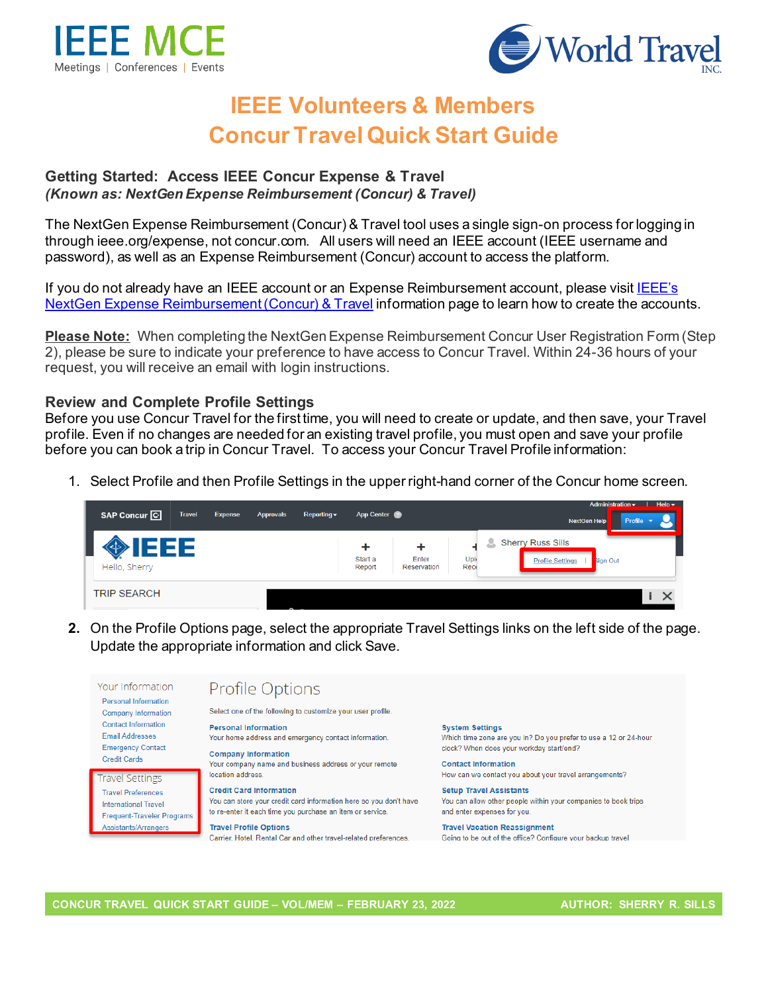



# **IEEE Volunteers & Members Concur Travel Quick Start Guide**

#### **Getting Started: Access IEEE Concur Expense & Travel**  *(Known as: NextGen Expense Reimbursement (Concur) & Travel)*

The NextGen Expense Reimbursement (Concur) & Travel tool uses a single sign-on process for logging in through ieee.org/expense, not concur.com. All users will need an IEEE account (IEEE username and password), as well as an Expense Reimbursement (Concur) account to access the platform.

If you do not already have an IEEE account or an Expense Reimbursement account, please visi[t IEEE's](http://www.ieee.org/expense)  [NextGen Expense Reimbursement \(Concur\) & Travel](http://www.ieee.org/expense) information page to learn how to create the accounts.

**Please Note:** When completing the NextGen Expense Reimbursement Concur User Registration Form (Step 2), please be sure to indicate your preference to have access to Concur Travel. Within 24-36 hours of your request, you will receive an email with login instructions.

#### **Review and Complete Profile Settings**

Before you use Concur Travel for the first time, you will need to create or update, and then save, your Travel profile. Even if no changes are needed for an existing travel profile, you must open and save your profile before you can book a trip in Concur Travel. To access your Concur Travel Profile information:

1. Select Profile and then Profile Settings in the upper right-hand corner of the Concur home screen.

| SAP Concur <sup>C</sup> | <b>Travel</b> | <b>Expense</b> | <b>Approvals</b> | Reporting $\blacktriangledown$ | App Center             |                           |             | Administration $\mathbf{v}$   Help $\mathbf{v}$<br><b>NextGen Help</b><br>Profile |
|-------------------------|---------------|----------------|------------------|--------------------------------|------------------------|---------------------------|-------------|-----------------------------------------------------------------------------------|
| Hello, Sherry           | 333           |                |                  |                                | ٠<br>Start a<br>Report | ٠<br>Enter<br>Reservation | Upl<br>Rece | <b>Sherry Russ Sills</b><br>۳<br><b>Profile Settings</b><br>sign Out              |
| <b>TRIP SEARCH</b>      |               |                |                  |                                |                        |                           |             | $\times$                                                                          |

**2.** On the Profile Options page, select the appropriate Travel Settings links on the left side of the page. Update the appropriate information and click Save.

Your Information **Profile Options** Personal Information Select one of the following to customize your user profile **Company Information Contact Information Personal Information System Settings Email Addresses** Which time zone are you in? Do you prefer to use a 12 or 24-hour Your home address and emergency contact information. **Emergency Contact** clock? When does your workday start/end? **Company Information Credit Cards** Your company name and business address or your remote **Contact Information** location address. How can we contact you about your travel arrangements? **Travel Settings Credit Card Information Setup Travel Assistants Travel Preferences** You can store your credit card information here so you don't have You can allow other people within your companies to book trips **International Travel** to re-enter it each time you purchase an item or service. and enter expenses for you. **Frequent-Traveler Programs** Assistants/Arrangers **Travel Profile Options Travel Vacation Reassignment** Carrier, Hotel, Rental Car and other travel-related preferences. Going to be out of the office? Configure your backup travel

**CONCUR TRAVEL QUICK START GUIDE – VOL/MEM – FEBRUARY 23, 2022 AUTHOR: SHERRY R. SILLS**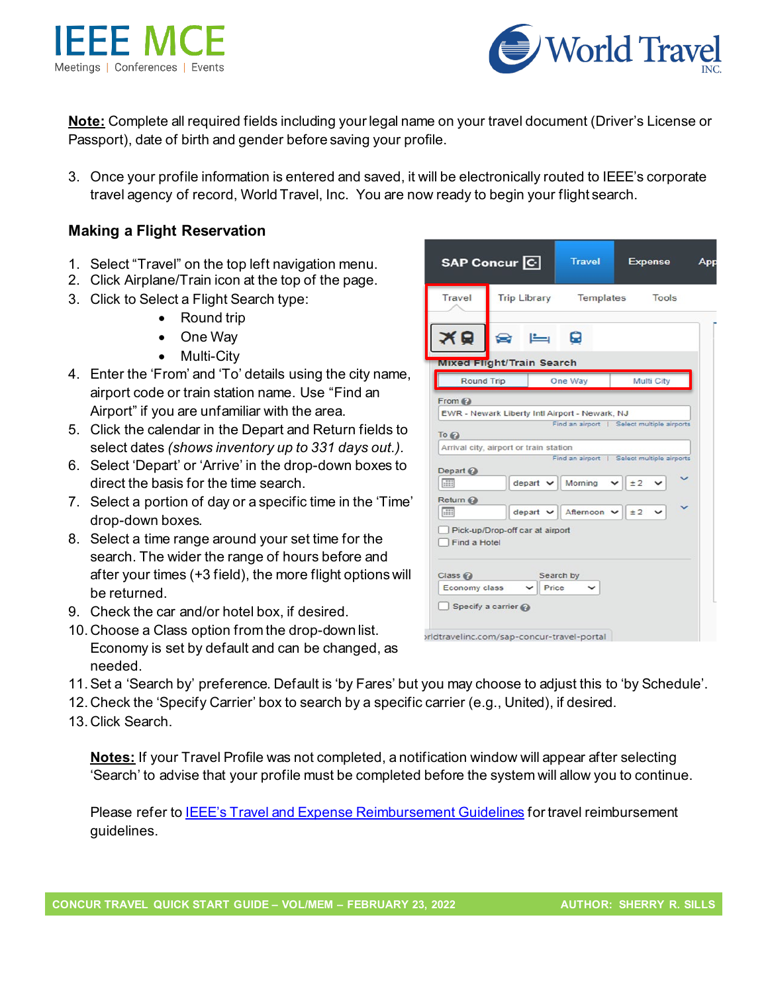



**Note:** Complete all required fields including your legal name on your travel document (Driver's License or Passport), date of birth and gender before saving your profile.

3. Once your profile information is entered and saved, it will be electronically routed to IEEE's corporate travel agency of record, World Travel, Inc. You are now ready to begin your flight search.

## **Making a Flight Reservation**

- 1. Select "Travel" on the top left navigation menu.
- 2. Click Airplane/Train icon at the top of the page.
- 3. Click to Select a Flight Search type:
	- Round trip
	- One Way
	- Multi-City
- 4. Enter the 'From' and 'To' details using the city name, airport code or train station name. Use "Find an Airport" if you are unfamiliar with the area.
- 5. Click the calendar in the Depart and Return fields to select dates *(shows inventory up to 331 days out.).*
- 6. Select 'Depart' or 'Arrive' in the drop-down boxes to direct the basis for the time search.
- 7. Select a portion of day or a specific time in the 'Time' drop-down boxes.
- 8. Select a time range around your set time for the search. The wider the range of hours before and after your times (+3 field), the more flight options will be returned.
- 9. Check the car and/or hotel box, if desired.
- 10. Choose a Class option from the drop-down list. Economy is set by default and can be changed, as needed.
- 11.Set a 'Search by' preference. Default is 'by Fares' but you may choose to adjust this to 'by Schedule'.
- 12. Check the 'Specify Carrier' box to search by a specific carrier (e.g., United), if desired.
- 13. Click Search.

**Notes:** If your Travel Profile was not completed, a notification window will appear after selecting 'Search' to advise that your profile must be completed before the system will allow you to continue.

Please refer to IEEE's [Travel and Expense Reimbursement Guidelines](https://www.ieee.org/content/dam/ieee-org/ieee/web/org/travel-expense-reimbursement-guidelines.pdf) for travel reimbursement guidelines.

|                               | SAP Concur <sup>C</sup>                                         | <b>Travel</b>          | <b>Expense</b>                                   | App |
|-------------------------------|-----------------------------------------------------------------|------------------------|--------------------------------------------------|-----|
| Travel                        |                                                                 | Trip Library Templates | <b>Tools</b>                                     |     |
| Q                             | ◒<br>ركا                                                        | 0                      |                                                  |     |
|                               | <b>Mixed Flight/Train Search</b>                                |                        |                                                  |     |
| <b>Round Trip</b>             |                                                                 | One Way                | Multi City                                       |     |
| Depart $\odot$<br><b>hiii</b> | Arrival city, airport or train station<br>$depart$ $\sim$       | Moming                 | Find an airport   Select multiple airports<br>±2 |     |
| Return @<br><b>Hill</b>       | $\text{depart} \; \blacktriangleright$                          | Afternoon v            | ±2                                               |     |
| Find a Hotel                  | Pick-up/Drop-off car at airport                                 |                        |                                                  |     |
| Class <sub>®</sub>            |                                                                 | Search by              |                                                  |     |
| Economy class                 |                                                                 | Price                  |                                                  |     |
|                               | Specify a carrier<br>orldtravelinc.com/sap-concur-travel-portal |                        |                                                  |     |